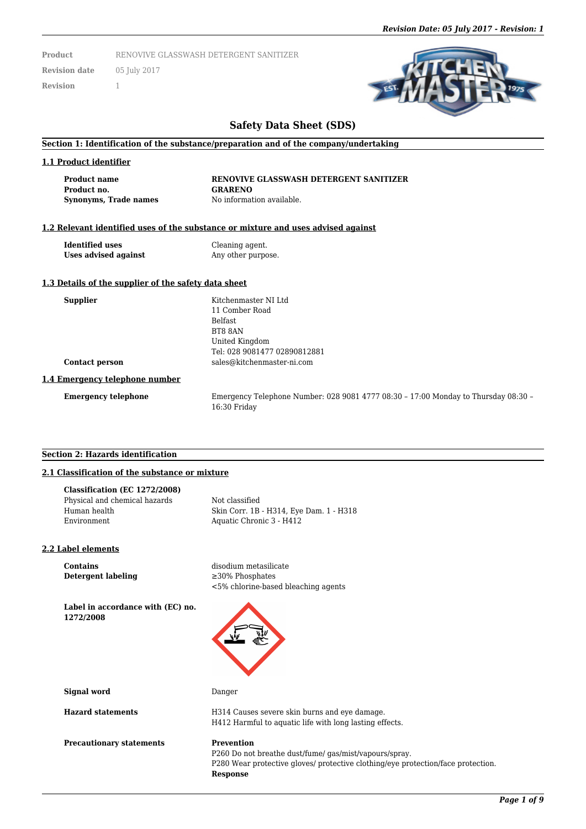**Product** RENOVIVE GLASSWASH DETERGENT SANITIZER

**Revision date** 05 July 2017 **Revision** 1

## **Safety Data Sheet (SDS)**

#### **Section 1: Identification of the substance/preparation and of the company/undertaking**

#### **1.1 Product identifier**

**Product no. GRARENO Synonyms, Trade names** No information available.

**Product name RENOVIVE GLASSWASH DETERGENT SANITIZER**

#### **1.2 Relevant identified uses of the substance or mixture and uses advised against**

**Identified uses** Cleaning agent. **Uses advised against** Any other purpose.

#### **1.3 Details of the supplier of the safety data sheet**

| <b>Supplier</b>            | Kitchenmaster NI Ltd         |
|----------------------------|------------------------------|
|                            | 11 Comber Road               |
|                            | <b>Belfast</b>               |
|                            | BT8 8AN                      |
|                            | United Kingdom               |
|                            | Tel: 028 9081477 02890812881 |
| <b>Contact person</b>      | sales@kitchenmaster-ni.com   |
| Emergency telephone number |                              |

## **1.4**

**Emergency telephone** Emergency Telephone Number: 028 9081 4777 08:30 – 17:00 Monday to Thursday 08:30 – 16:30 Friday

#### **Section 2: Hazards identification**

### **2.1 Classification of the substance or mixture**

| Classification (EC 1272/2008) |                                         |
|-------------------------------|-----------------------------------------|
| Physical and chemical hazards | Not classified                          |
| Human health                  | Skin Corr. 1B - H314, Eye Dam. 1 - H318 |
| Environment                   | Aquatic Chronic 3 - H412                |
|                               |                                         |

#### **2.2 Label elements**

**Contains** disodium metasilicate **Detergent labeling** ≥30% Phosphates

<5% chlorine-based bleaching agents

**Label in accordance with (EC) no. 1272/2008**



**Signal word** Danger

**Hazard statements** H314 Causes severe skin burns and eye damage.

**Precautionary statements Prevention** 

# H412 Harmful to aquatic life with long lasting effects.

P260 Do not breathe dust/fume/ gas/mist/vapours/spray. P280 Wear protective gloves/ protective clothing/eye protection/face protection. **Response**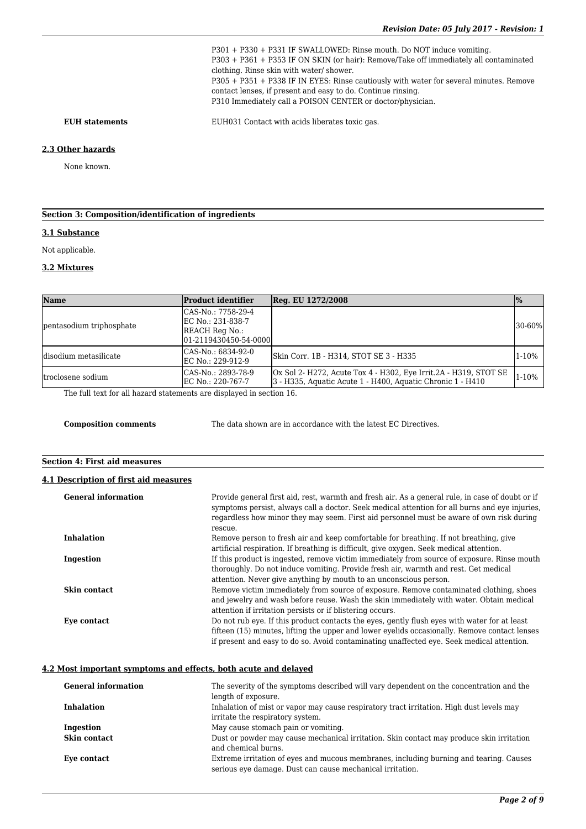P301 + P330 + P331 IF SWALLOWED: Rinse mouth. Do NOT induce vomiting. P303 + P361 + P353 IF ON SKIN (or hair): Remove/Take off immediately all contaminated clothing. Rinse skin with water/ shower. P305 + P351 + P338 IF IN EYES: Rinse cautiously with water for several minutes. Remove contact lenses, if present and easy to do. Continue rinsing. P310 Immediately call a POISON CENTER or doctor/physician.

**EUH statements** EUH031 Contact with acids liberates toxic gas.

#### **2.3 Other hazards**

None known.

### **Section 3: Composition/identification of ingredients**

#### **3.1 Substance**

Not applicable.

#### **3.2 Mixtures**

| <b>Name</b>              | <b>Product identifier</b>                                                          | Reg. EU 1272/2008                                                                                                               | $\mathbf{p}_0$ |
|--------------------------|------------------------------------------------------------------------------------|---------------------------------------------------------------------------------------------------------------------------------|----------------|
| pentasodium triphosphate | CAS-No.: 7758-29-4<br>EC No.: 231-838-7<br>REACH Reg No.:<br>01-2119430450-54-0000 |                                                                                                                                 | $30 - 60%$     |
| disodium metasilicate    | CAS-No.: 6834-92-0<br>EC No.: 229-912-9                                            | Skin Corr. 1B - H314, STOT SE 3 - H335                                                                                          | $1 - 10%$      |
| Itroclosene sodium       | CAS-No.: 2893-78-9<br>EC No.: 220-767-7                                            | Ox Sol 2- H272, Acute Tox 4 - H302, Eye Irrit. 2A - H319, STOT SE<br>3 - H335, Aguatic Acute 1 - H400, Aguatic Chronic 1 - H410 | $1 - 10%$      |

The full text for all hazard statements are displayed in section 16.

**Composition comments** The data shown are in accordance with the latest EC Directives.

#### **Section 4: First aid measures**

#### **4.1 Description of first aid measures**

| <b>General information</b> | Provide general first aid, rest, warmth and fresh air. As a general rule, in case of doubt or if<br>symptoms persist, always call a doctor. Seek medical attention for all burns and eye injuries,<br>regardless how minor they may seem. First aid personnel must be aware of own risk during |
|----------------------------|------------------------------------------------------------------------------------------------------------------------------------------------------------------------------------------------------------------------------------------------------------------------------------------------|
|                            | rescue.                                                                                                                                                                                                                                                                                        |
| <b>Inhalation</b>          | Remove person to fresh air and keep comfortable for breathing. If not breathing, give<br>artificial respiration. If breathing is difficult, give oxygen. Seek medical attention.                                                                                                               |
| Ingestion                  | If this product is ingested, remove victim immediately from source of exposure. Rinse mouth<br>thoroughly. Do not induce vomiting. Provide fresh air, warmth and rest. Get medical                                                                                                             |
|                            | attention. Never give anything by mouth to an unconscious person.                                                                                                                                                                                                                              |
| Skin contact               | Remove victim immediately from source of exposure. Remove contaminated clothing, shoes<br>and jewelry and wash before reuse. Wash the skin immediately with water. Obtain medical<br>attention if irritation persists or if blistering occurs.                                                 |
| Eye contact                | Do not rub eye. If this product contacts the eyes, gently flush eyes with water for at least<br>fifteen (15) minutes, lifting the upper and lower eyelids occasionally. Remove contact lenses<br>if present and easy to do so. Avoid contaminating unaffected eye. Seek medical attention.     |

#### **4.2 Most important symptoms and effects, both acute and delayed**

| <b>General information</b> | The severity of the symptoms described will vary dependent on the concentration and the<br>length of exposure.                                      |
|----------------------------|-----------------------------------------------------------------------------------------------------------------------------------------------------|
| <b>Inhalation</b>          | Inhalation of mist or vapor may cause respiratory tract irritation. High dust levels may<br>irritate the respiratory system.                        |
| Ingestion                  | May cause stomach pain or vomiting.                                                                                                                 |
| Skin contact               | Dust or powder may cause mechanical irritation. Skin contact may produce skin irritation<br>and chemical burns.                                     |
| Eye contact                | Extreme irritation of eyes and mucous membranes, including burning and tearing. Causes<br>serious eye damage. Dust can cause mechanical irritation. |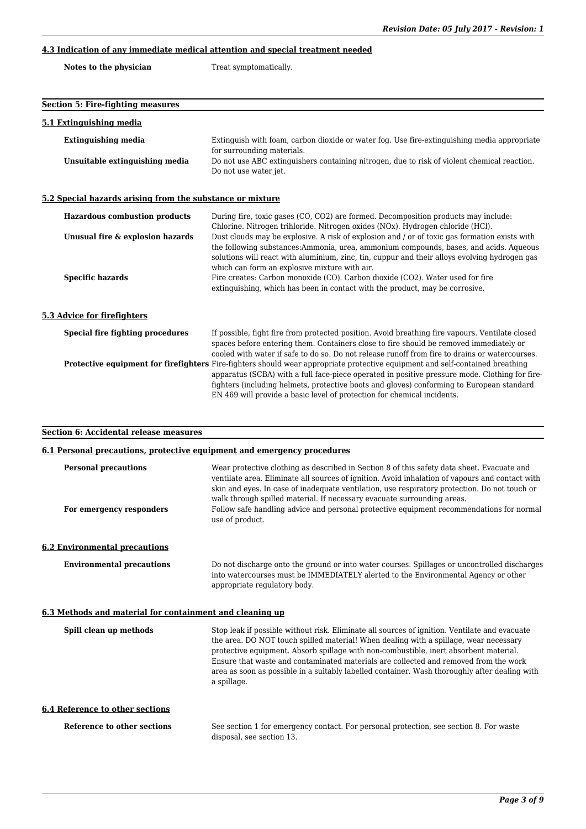## **4.3 Indication of any immediate medical attention and special treatment needed**

| Notes to the physician | Treat symptomatically. |
|------------------------|------------------------|
|------------------------|------------------------|

| <b>Section 5: Fire-fighting measures</b>                                |                                                                                                                                                                                                                                                                                                                                                                                                         |
|-------------------------------------------------------------------------|---------------------------------------------------------------------------------------------------------------------------------------------------------------------------------------------------------------------------------------------------------------------------------------------------------------------------------------------------------------------------------------------------------|
| 5.1 Extinguishing media                                                 |                                                                                                                                                                                                                                                                                                                                                                                                         |
| <b>Extinguishing media</b>                                              | Extinguish with foam, carbon dioxide or water fog. Use fire-extinguishing media appropriate<br>for surrounding materials.                                                                                                                                                                                                                                                                               |
| Unsuitable extinguishing media                                          | Do not use ABC extinguishers containing nitrogen, due to risk of violent chemical reaction.<br>Do not use water jet.                                                                                                                                                                                                                                                                                    |
| 5.2 Special hazards arising from the substance or mixture               |                                                                                                                                                                                                                                                                                                                                                                                                         |
| <b>Hazardous combustion products</b>                                    | During fire, toxic gases (CO, CO2) are formed. Decomposition products may include:<br>Chlorine. Nitrogen trihloride. Nitrogen oxides (NOx). Hydrogen chloride (HCl).                                                                                                                                                                                                                                    |
| Unusual fire & explosion hazards                                        | Dust clouds may be explosive. A risk of explosion and / or of toxic gas formation exists with<br>the following substances: Ammonia, urea, ammonium compounds, bases, and acids. Aqueous<br>solutions will react with aluminium, zinc, tin, cuppur and their alloys evolving hydrogen gas<br>which can form an explosive mixture with air.                                                               |
| <b>Specific hazards</b>                                                 | Fire creates: Carbon monoxide (CO). Carbon dioxide (CO2). Water used for fire<br>extinguishing, which has been in contact with the product, may be corrosive.                                                                                                                                                                                                                                           |
| 5.3 Advice for firefighters                                             |                                                                                                                                                                                                                                                                                                                                                                                                         |
| <b>Special fire fighting procedures</b>                                 | If possible, fight fire from protected position. Avoid breathing fire vapours. Ventilate closed<br>spaces before entering them. Containers close to fire should be removed immediately or<br>cooled with water if safe to do so. Do not release runoff from fire to drains or watercourses.                                                                                                             |
|                                                                         | Protective equipment for firefighters Fire-fighters should wear appropriate protective equipment and self-contained breathing<br>apparatus (SCBA) with a full face-piece operated in positive pressure mode. Clothing for fire-<br>fighters (including helmets, protective boots and gloves) conforming to European standard<br>EN 469 will provide a basic level of protection for chemical incidents. |
| <b>Section 6: Accidental release measures</b>                           |                                                                                                                                                                                                                                                                                                                                                                                                         |
| 6.1 Personal precautions, protective equipment and emergency procedures |                                                                                                                                                                                                                                                                                                                                                                                                         |
| <b>Personal precautions</b>                                             | Wear protective clothing as described in Section 8 of this safety data sheet. Evacuate and<br>ventilate area. Eliminate all sources of ignition. Avoid inhalation of vapours and contact with<br>skin and eyes. In case of inadequate ventilation, use respiratory protection. Do not touch or                                                                                                          |
| For emergency responders                                                | walk through spilled material. If necessary evacuate surrounding areas.<br>Follow safe handling advice and personal protective equipment recommendations for normal<br>use of product.                                                                                                                                                                                                                  |
| <b>6.2 Environmental precautions</b>                                    |                                                                                                                                                                                                                                                                                                                                                                                                         |
| <b>Environmental precautions</b>                                        | Do not discharge onto the ground or into water courses. Spillages or uncontrolled discharges                                                                                                                                                                                                                                                                                                            |

## **6.3 Methods and material for containment and cleaning up**

| Spill clean up methods          | Stop leak if possible without risk. Eliminate all sources of ignition. Ventilate and evacuate<br>the area. DO NOT touch spilled material! When dealing with a spillage, wear necessary<br>protective equipment. Absorb spillage with non-combustible, inert absorbent material.<br>Ensure that waste and contaminated materials are collected and removed from the work<br>area as soon as possible in a suitably labelled container. Wash thoroughly after dealing with<br>a spillage. |
|---------------------------------|-----------------------------------------------------------------------------------------------------------------------------------------------------------------------------------------------------------------------------------------------------------------------------------------------------------------------------------------------------------------------------------------------------------------------------------------------------------------------------------------|
| 6.4 Reference to other sections |                                                                                                                                                                                                                                                                                                                                                                                                                                                                                         |
| Reference to other sections     | See section 1 for emergency contact. For personal protection, see section 8. For waste                                                                                                                                                                                                                                                                                                                                                                                                  |

appropriate regulatory body.

disposal, see section 13.

into watercourses must be IMMEDIATELY alerted to the Environmental Agency or other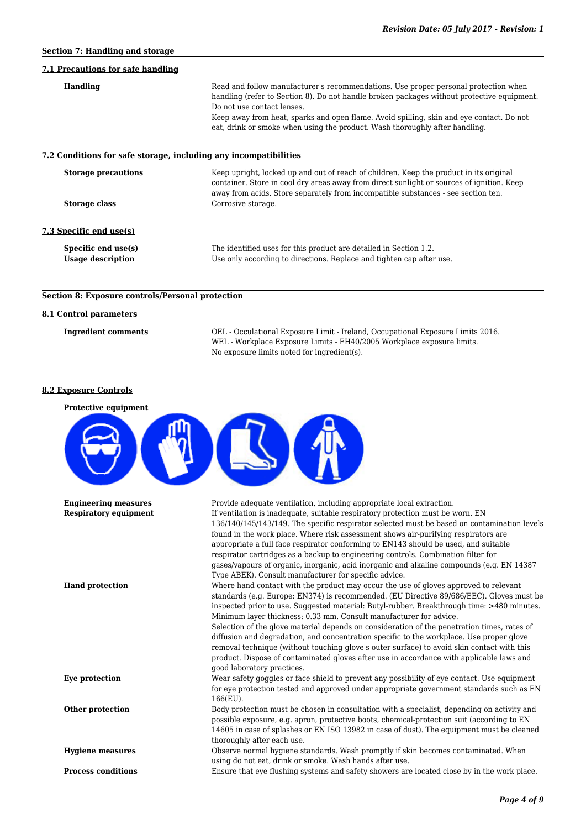# **Section 7: Handling and storage 7.1 Precautions for safe handling Handling** Read and follow manufacturer's recommendations. Use proper personal protection when handling (refer to Section 8). Do not handle broken packages without protective equipment. Do not use contact lenses. Keep away from heat, sparks and open flame. Avoid spilling, skin and eye contact. Do not eat, drink or smoke when using the product. Wash thoroughly after handling. **7.2 Conditions for safe storage, including any incompatibilities Storage precautions** Keep upright, locked up and out of reach of children. Keep the product in its original container. Store in cool dry areas away from direct sunlight or sources of ignition. Keep away from acids. Store separately from incompatible substances - see section ten. **Storage class** Corrosive storage. **7.3 Specific end use(s) Specific end use(s)** The identified uses for this product are detailed in Section 1.2. **Usage description** Use only according to directions. Replace and tighten cap after use.

## **Section 8: Exposure controls/Personal protection**

## **8.1 Control parameters**

**Ingredient comments** OEL - Occulational Exposure Limit - Ireland, Occupational Exposure Limits 2016. WEL - Workplace Exposure Limits - EH40/2005 Workplace exposure limits. No exposure limits noted for ingredient(s).

#### **8.2 Exposure Controls**

| <b>Protective equipment</b>  |                                                                                                                                                                          |
|------------------------------|--------------------------------------------------------------------------------------------------------------------------------------------------------------------------|
|                              |                                                                                                                                                                          |
| <b>Engineering measures</b>  | Provide adequate ventilation, including appropriate local extraction.                                                                                                    |
| <b>Respiratory equipment</b> | If ventilation is inadequate, suitable respiratory protection must be worn. EN                                                                                           |
|                              | 136/140/145/143/149. The specific respirator selected must be based on contamination levels                                                                              |
|                              | found in the work place. Where risk assessment shows air-purifying respirators are                                                                                       |
|                              | appropriate a full face respirator conforming to EN143 should be used, and suitable<br>respirator cartridges as a backup to engineering controls. Combination filter for |
|                              | gases/vapours of organic, inorganic, acid inorganic and alkaline compounds (e.g. EN 14387                                                                                |
|                              | Type ABEK). Consult manufacturer for specific advice.                                                                                                                    |
| <b>Hand protection</b>       | Where hand contact with the product may occur the use of gloves approved to relevant                                                                                     |
|                              | standards (e.g. Europe: EN374) is recommended. (EU Directive 89/686/EEC). Gloves must be                                                                                 |
|                              | inspected prior to use. Suggested material: Butyl-rubber. Breakthrough time: >480 minutes.                                                                               |
|                              | Minimum layer thickness: 0.33 mm. Consult manufacturer for advice.<br>Selection of the glove material depends on consideration of the penetration times, rates of        |
|                              | diffusion and degradation, and concentration specific to the workplace. Use proper glove                                                                                 |
|                              | removal technique (without touching glove's outer surface) to avoid skin contact with this                                                                               |
|                              | product. Dispose of contaminated gloves after use in accordance with applicable laws and                                                                                 |
|                              | good laboratory practices.                                                                                                                                               |
| Eye protection               | Wear safety goggles or face shield to prevent any possibility of eye contact. Use equipment                                                                              |
|                              | for eye protection tested and approved under appropriate government standards such as EN                                                                                 |
| Other protection             | $166$ (EU).<br>Body protection must be chosen in consultation with a specialist, depending on activity and                                                               |
|                              | possible exposure, e.g. apron, protective boots, chemical-protection suit (according to EN                                                                               |
|                              | 14605 in case of splashes or EN ISO 13982 in case of dust). The equipment must be cleaned                                                                                |
|                              | thoroughly after each use.                                                                                                                                               |
| <b>Hygiene measures</b>      | Observe normal hygiene standards. Wash promptly if skin becomes contaminated. When                                                                                       |
|                              | using do not eat, drink or smoke. Wash hands after use.                                                                                                                  |
| <b>Process conditions</b>    | Ensure that eye flushing systems and safety showers are located close by in the work place.                                                                              |
|                              |                                                                                                                                                                          |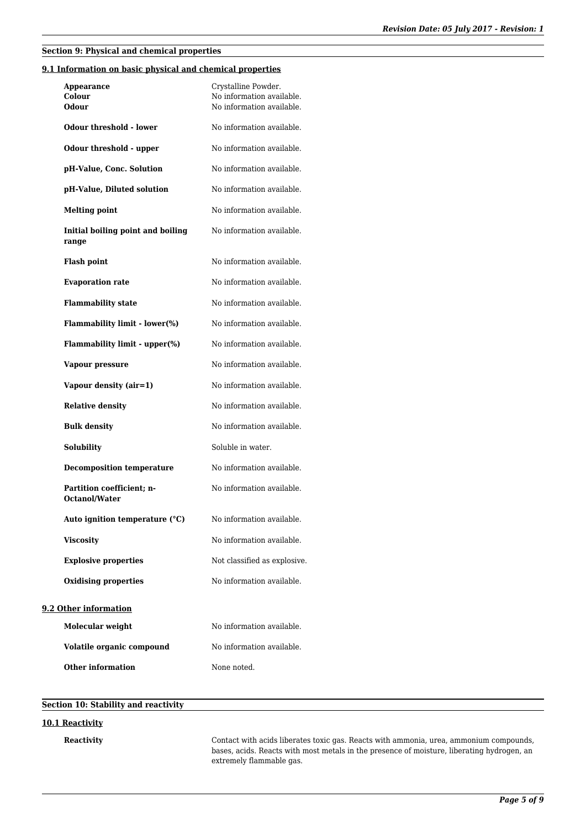## **Section 9: Physical and chemical properties**

## **9.1 Information on basic physical and chemical properties**

| Appearance<br>Colour<br>Odour                     | Crystalline Powder.<br>No information available.<br>No information available. |
|---------------------------------------------------|-------------------------------------------------------------------------------|
| Odour threshold - lower                           | No information available.                                                     |
| Odour threshold - upper                           | No information available.                                                     |
| pH-Value, Conc. Solution                          | No information available.                                                     |
| pH-Value, Diluted solution                        | No information available.                                                     |
| <b>Melting point</b>                              | No information available.                                                     |
| Initial boiling point and boiling<br>range        | No information available.                                                     |
| <b>Flash point</b>                                | No information available.                                                     |
| <b>Evaporation rate</b>                           | No information available.                                                     |
| <b>Flammability state</b>                         | No information available.                                                     |
| Flammability limit - lower(%)                     | No information available.                                                     |
| Flammability limit - upper(%)                     | No information available.                                                     |
| Vapour pressure                                   | No information available.                                                     |
| Vapour density (air=1)                            | No information available.                                                     |
| <b>Relative density</b>                           | No information available.                                                     |
| <b>Bulk density</b>                               | No information available.                                                     |
| Solubility                                        | Soluble in water.                                                             |
| <b>Decomposition temperature</b>                  | No information available.                                                     |
| Partition coefficient; n-<br><b>Octanol/Water</b> | No information available.                                                     |
| Auto ignition temperature (°C)                    | No information available.                                                     |
| <b>Viscosity</b>                                  | No information available.                                                     |
| <b>Explosive properties</b>                       | Not classified as explosive.                                                  |
| <b>Oxidising properties</b>                       | No information available.                                                     |
| 9.2 Other information                             |                                                                               |
| Molecular weight                                  | No information available.                                                     |
| Volatile organic compound                         | No information available.                                                     |

**Other information** None noted.

## **Section 10: Stability and reactivity**

#### **10.1 Reactivity**

**Reactivity** Contact with acids liberates toxic gas. Reacts with ammonia, urea, ammonium compounds, bases, acids. Reacts with most metals in the presence of moisture, liberating hydrogen, an extremely flammable gas.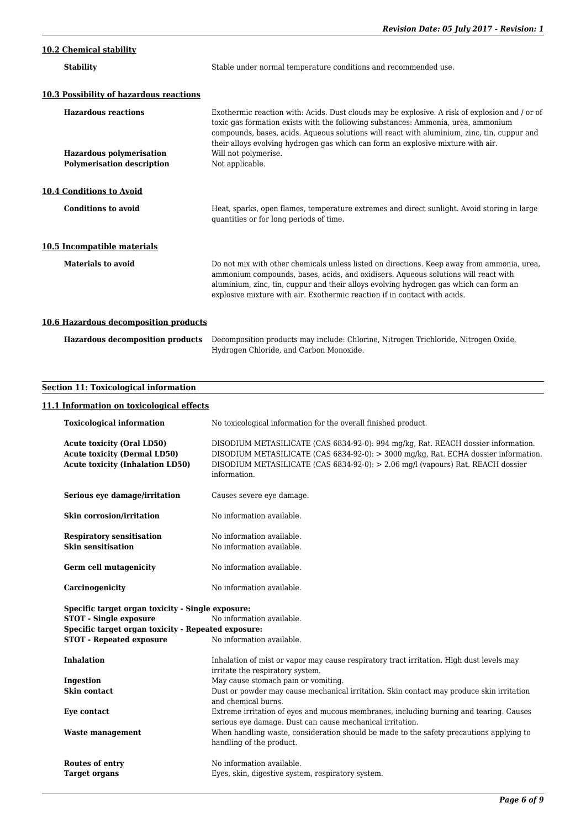## **10.2 Chemical stability**

| Exothermic reaction with: Acids. Dust clouds may be explosive. A risk of explosion and / or of<br>compounds, bases, acids. Aqueous solutions will react with aluminium, zinc, tin, cuppur and |
|-----------------------------------------------------------------------------------------------------------------------------------------------------------------------------------------------|
|                                                                                                                                                                                               |
|                                                                                                                                                                                               |
|                                                                                                                                                                                               |
| Heat, sparks, open flames, temperature extremes and direct sunlight. Avoid storing in large                                                                                                   |
|                                                                                                                                                                                               |
| Do not mix with other chemicals unless listed on directions. Keep away from ammonia, urea,                                                                                                    |
|                                                                                                                                                                                               |

## **10.6 Hazardous decomposition products**

| Hazardous decomposition products Decomposition products may include: Chlorine, Nitrogen Trichloride, Nitrogen Oxide, |
|----------------------------------------------------------------------------------------------------------------------|
| Hydrogen Chloride, and Carbon Monoxide.                                                                              |

## **Section 11: Toxicological information**

## **11.1 Information on toxicological effects**

| <b>Toxicological information</b>                                                                                                                                             | No toxicological information for the overall finished product.                                                                                                                                                                                                              |
|------------------------------------------------------------------------------------------------------------------------------------------------------------------------------|-----------------------------------------------------------------------------------------------------------------------------------------------------------------------------------------------------------------------------------------------------------------------------|
| <b>Acute toxicity (Oral LD50)</b><br><b>Acute toxicity (Dermal LD50)</b><br><b>Acute toxicity (Inhalation LD50)</b>                                                          | DISODIUM METASILICATE (CAS 6834-92-0): 994 mg/kg, Rat. REACH dossier information.<br>DISODIUM METASILICATE (CAS 6834-92-0): > 3000 mg/kg, Rat. ECHA dossier information.<br>DISODIUM METASILICATE (CAS 6834-92-0): > 2.06 mg/l (vapours) Rat. REACH dossier<br>information. |
| Serious eye damage/irritation                                                                                                                                                | Causes severe eye damage.                                                                                                                                                                                                                                                   |
| <b>Skin corrosion/irritation</b>                                                                                                                                             | No information available.                                                                                                                                                                                                                                                   |
| <b>Respiratory sensitisation</b>                                                                                                                                             | No information available.                                                                                                                                                                                                                                                   |
| <b>Skin sensitisation</b>                                                                                                                                                    | No information available.                                                                                                                                                                                                                                                   |
| <b>Germ cell mutagenicity</b>                                                                                                                                                | No information available.                                                                                                                                                                                                                                                   |
| Carcinogenicity                                                                                                                                                              | No information available.                                                                                                                                                                                                                                                   |
| Specific target organ toxicity - Single exposure:<br><b>STOT - Single exposure</b><br>Specific target organ toxicity - Repeated exposure:<br><b>STOT - Repeated exposure</b> | No information available.<br>No information available.                                                                                                                                                                                                                      |
| <b>Inhalation</b>                                                                                                                                                            | Inhalation of mist or vapor may cause respiratory tract irritation. High dust levels may<br>irritate the respiratory system.                                                                                                                                                |
| Ingestion                                                                                                                                                                    | May cause stomach pain or vomiting.                                                                                                                                                                                                                                         |
| Skin contact                                                                                                                                                                 | Dust or powder may cause mechanical irritation. Skin contact may produce skin irritation<br>and chemical burns.                                                                                                                                                             |
| Eve contact                                                                                                                                                                  | Extreme irritation of eyes and mucous membranes, including burning and tearing. Causes<br>serious eye damage. Dust can cause mechanical irritation.                                                                                                                         |
| <b>Waste management</b>                                                                                                                                                      | When handling waste, consideration should be made to the safety precautions applying to<br>handling of the product.                                                                                                                                                         |
| <b>Routes of entry</b>                                                                                                                                                       | No information available.                                                                                                                                                                                                                                                   |
| <b>Target organs</b>                                                                                                                                                         | Eyes, skin, digestive system, respiratory system.                                                                                                                                                                                                                           |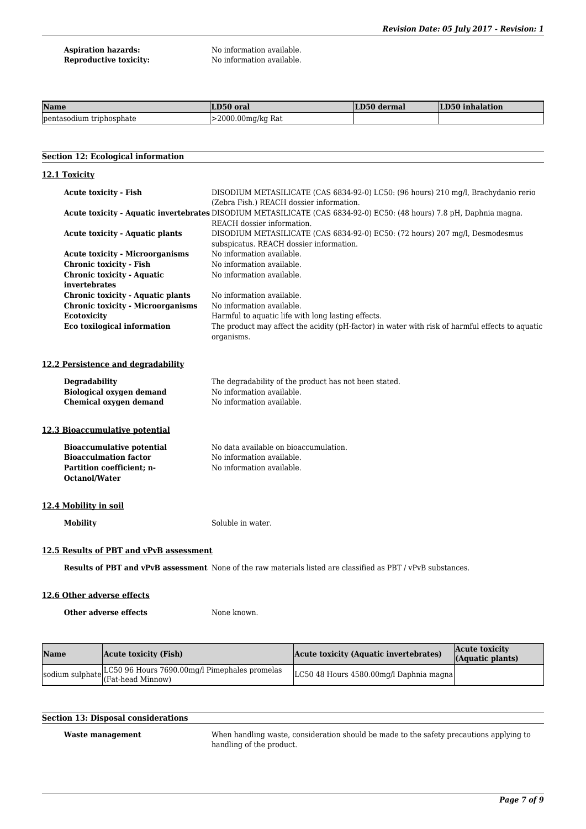**Aspiration hazards:** No information available.<br> **Reproductive toxicity:** No information available.

No information available.

| Name                           | LD50 oral               | LD50 dermal | LD50 inhalation |
|--------------------------------|-------------------------|-------------|-----------------|
| Ipentasodium<br>ı trıphosphate | $\geq$ 2000.00mg/kg Rat |             |                 |

### **Section 12: Ecological information**

| 12.1 Toxicity                                      |                                                                                                                                                    |  |
|----------------------------------------------------|----------------------------------------------------------------------------------------------------------------------------------------------------|--|
| <b>Acute toxicity - Fish</b>                       | DISODIUM METASILICATE (CAS 6834-92-0) LC50: (96 hours) 210 mg/l, Brachydanio rerio<br>(Zebra Fish.) REACH dossier information.                     |  |
|                                                    | Acute toxicity - Aquatic invertebrates DISODIUM METASILICATE (CAS 6834-92-0) EC50: (48 hours) 7.8 pH, Daphnia magna.<br>REACH dossier information. |  |
| <b>Acute toxicity - Aquatic plants</b>             | DISODIUM METASILICATE (CAS 6834-92-0) EC50: (72 hours) 207 mg/l, Desmodesmus<br>subspicatus. REACH dossier information.                            |  |
| <b>Acute toxicity - Microorganisms</b>             | No information available.                                                                                                                          |  |
| <b>Chronic toxicity - Fish</b>                     | No information available.                                                                                                                          |  |
| <b>Chronic toxicity - Aquatic</b><br>invertebrates | No information available.                                                                                                                          |  |
| <b>Chronic toxicity - Aquatic plants</b>           | No information available.                                                                                                                          |  |
| <b>Chronic toxicity - Microorganisms</b>           | No information available.                                                                                                                          |  |
| <b>Ecotoxicity</b>                                 | Harmful to aquatic life with long lasting effects.                                                                                                 |  |
| Eco toxilogical information                        | The product may affect the acidity (pH-factor) in water with risk of harmful effects to aquatic<br>organisms.                                      |  |
| 12.2 Persistence and degradability                 |                                                                                                                                                    |  |
| <b>Degradability</b>                               | The degradability of the product has not been stated.                                                                                              |  |
| <b>Biological oxygen demand</b>                    | No information available.                                                                                                                          |  |
| <b>Chemical oxygen demand</b>                      | No information available.                                                                                                                          |  |
| 12.3 Bioaccumulative potential                     |                                                                                                                                                    |  |
| <b>Bioaccumulative potential</b>                   | No data available on bioaccumulation.                                                                                                              |  |
| <b>Bioacculmation factor</b>                       | No information available.                                                                                                                          |  |
| Partition coefficient; n-<br><b>Octanol/Water</b>  | No information available.                                                                                                                          |  |
| 12.4 Mobility in soil                              |                                                                                                                                                    |  |
| <b>Mobility</b>                                    | Soluble in water.                                                                                                                                  |  |
| 12.5 Results of PBT and vPvB assessment            |                                                                                                                                                    |  |
|                                                    | <b>Results of PBT and vPvB assessment</b> None of the raw materials listed are classified as PBT / vPvB substances.                                |  |
| 12.6 Other adverse effects                         |                                                                                                                                                    |  |
| Other adverse effects                              | None known.                                                                                                                                        |  |
|                                                    |                                                                                                                                                    |  |

| <b>Name</b> | Acute toxicity (Fish)                                         | Acute toxicity (Aquatic invertebrates)  | Acute toxicity<br>(Aquatic plants) |
|-------------|---------------------------------------------------------------|-----------------------------------------|------------------------------------|
|             | sodium sulphate LC50 96 Hours 7690.00mg/l Pimephales promelas | LC50 48 Hours 4580.00mg/l Daphnia magna |                                    |

## **Section 13: Disposal considerations**

**Waste management** When handling waste, consideration should be made to the safety precautions applying to handling of the product.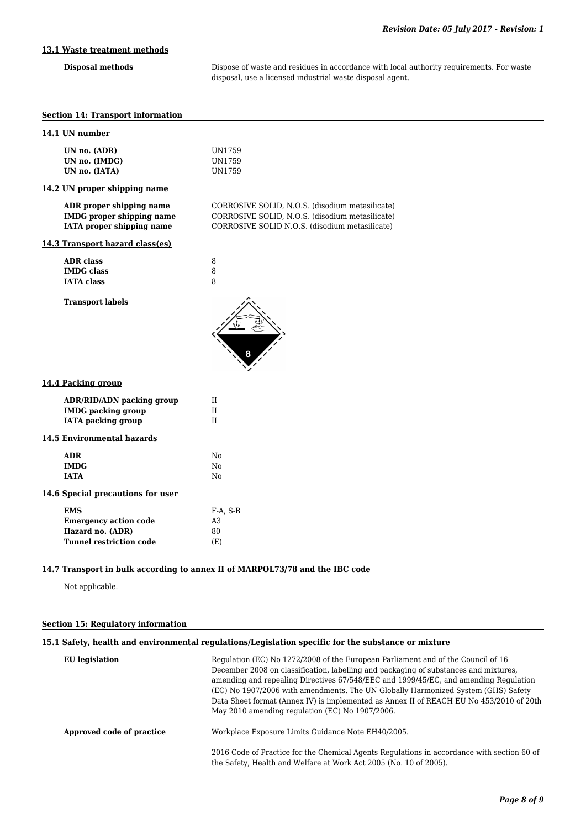## **13.1 Waste treatment methods**

**Disposal methods** Dispose of waste and residues in accordance with local authority requirements. For waste disposal, use a licensed industrial waste disposal agent.

| <b>Section 14: Transport information</b>                                                         |                                                                                                                                                      |
|--------------------------------------------------------------------------------------------------|------------------------------------------------------------------------------------------------------------------------------------------------------|
| 14.1 UN number                                                                                   |                                                                                                                                                      |
| UN no. (ADR)<br>UN no. (IMDG)<br>UN no. (IATA)                                                   | UN1759<br>UN1759<br>UN1759                                                                                                                           |
| 14.2 UN proper shipping name                                                                     |                                                                                                                                                      |
| ADR proper shipping name<br><b>IMDG</b> proper shipping name<br>IATA proper shipping name        | CORROSIVE SOLID, N.O.S. (disodium metasilicate)<br>CORROSIVE SOLID, N.O.S. (disodium metasilicate)<br>CORROSIVE SOLID N.O.S. (disodium metasilicate) |
| 14.3 Transport hazard class(es)                                                                  |                                                                                                                                                      |
| <b>ADR</b> class<br><b>IMDG</b> class<br><b>IATA</b> class                                       | 8<br>8<br>8                                                                                                                                          |
| <b>Transport labels</b>                                                                          |                                                                                                                                                      |
| 14.4 Packing group                                                                               |                                                                                                                                                      |
| <b>ADR/RID/ADN packing group</b><br><b>IMDG</b> packing group<br><b>IATA</b> packing group       | $\mathbf{II}$<br>$\rm II$<br>$\rm II$                                                                                                                |
| <b>14.5 Environmental hazards</b>                                                                |                                                                                                                                                      |
| <b>ADR</b><br><b>IMDG</b><br><b>IATA</b>                                                         | No<br>N <sub>o</sub><br>No                                                                                                                           |
| 14.6 Special precautions for user                                                                |                                                                                                                                                      |
| <b>EMS</b><br><b>Emergency action code</b><br>Hazard no. (ADR)<br><b>Tunnel restriction code</b> | $F-A$ , $S-B$<br>A3<br>80<br>(E)                                                                                                                     |
|                                                                                                  |                                                                                                                                                      |

## **14.7 Transport in bulk according to annex II of MARPOL73/78 and the IBC code**

Not applicable.

## **Section 15: Regulatory information**

## **15.1 Safety, health and environmental regulations/Legislation specific for the substance or mixture**

| EU legislation            | Regulation (EC) No 1272/2008 of the European Parliament and of the Council of 16<br>December 2008 on classification, labelling and packaging of substances and mixtures,<br>amending and repealing Directives 67/548/EEC and 1999/45/EC, and amending Regulation<br>(EC) No 1907/2006 with amendments. The UN Globally Harmonized System (GHS) Safety<br>Data Sheet format (Annex IV) is implemented as Annex II of REACH EU No 453/2010 of 20th<br>May 2010 amending regulation (EC) No 1907/2006. |
|---------------------------|-----------------------------------------------------------------------------------------------------------------------------------------------------------------------------------------------------------------------------------------------------------------------------------------------------------------------------------------------------------------------------------------------------------------------------------------------------------------------------------------------------|
| Approved code of practice | Workplace Exposure Limits Guidance Note EH40/2005.                                                                                                                                                                                                                                                                                                                                                                                                                                                  |
|                           | 2016 Code of Practice for the Chemical Agents Regulations in accordance with section 60 of<br>the Safety, Health and Welfare at Work Act 2005 (No. 10 of 2005).                                                                                                                                                                                                                                                                                                                                     |